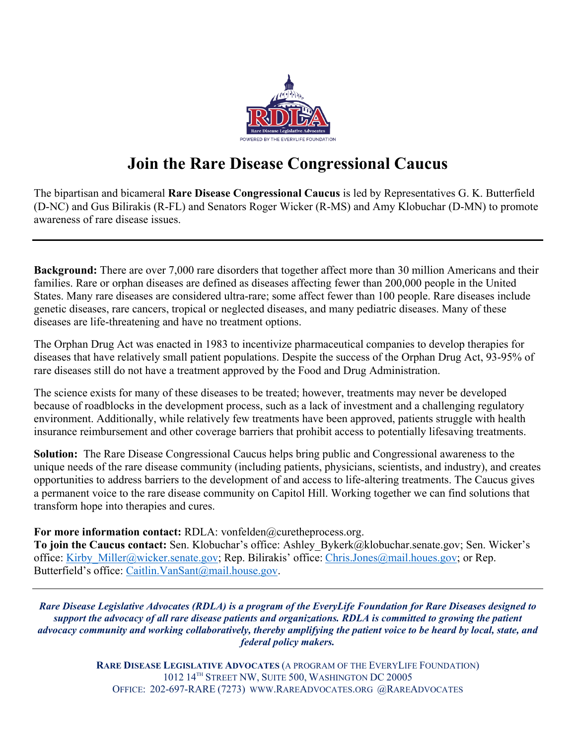

## **Join the Rare Disease Congressional Caucus**

The bipartisan and bicameral **Rare Disease Congressional Caucus** is led by Representatives G. K. Butterfield (D-NC) and Gus Bilirakis (R-FL) and Senators Roger Wicker (R-MS) and Amy Klobuchar (D-MN) to promote awareness of rare disease issues.

**Background:** There are over 7,000 rare disorders that together affect more than 30 million Americans and their families. Rare or orphan diseases are defined as diseases affecting fewer than 200,000 people in the United States. Many rare diseases are considered ultra-rare; some affect fewer than 100 people. Rare diseases include genetic diseases, rare cancers, tropical or neglected diseases, and many pediatric diseases. Many of these diseases are life-threatening and have no treatment options.

The Orphan Drug Act was enacted in 1983 to incentivize pharmaceutical companies to develop therapies for diseases that have relatively small patient populations. Despite the success of the Orphan Drug Act, 93-95% of rare diseases still do not have a treatment approved by the Food and Drug Administration.

The science exists for many of these diseases to be treated; however, treatments may never be developed because of roadblocks in the development process, such as a lack of investment and a challenging regulatory environment. Additionally, while relatively few treatments have been approved, patients struggle with health insurance reimbursement and other coverage barriers that prohibit access to potentially lifesaving treatments.

**Solution:** The Rare Disease Congressional Caucus helps bring public and Congressional awareness to the unique needs of the rare disease community (including patients, physicians, scientists, and industry), and creates opportunities to address barriers to the development of and access to life-altering treatments. The Caucus gives a permanent voice to the rare disease community on Capitol Hill. Working together we can find solutions that transform hope into therapies and cures.

For more information contact: RDLA: vonfelden@curetheprocess.org.

**To join the Caucus contact:** Sen. Klobuchar's office: Ashley\_Bykerk@klobuchar.senate.gov; Sen. Wicker's office: Kirby Miller@wicker.senate.gov; Rep. Bilirakis' office: [Chris.Jones@mail.houes.gov;](mailto:Chris.Jones@mail.houes.gov) or Rep. Butterfield's office: [Caitlin.VanSant@mail.house.gov.](mailto:Caitlin.VanSant@mail.house.gov)

*Rare Disease Legislative Advocates (RDLA) is a program of the EveryLife Foundation for Rare Diseases designed to support the advocacy of all rare disease patients and organizations. RDLA is committed to growing the patient advocacy community and working collaboratively, thereby amplifying the patient voice to be heard by local, state, and federal policy makers.*

> **RARE DISEASE LEGISLATIVE ADVOCATES** (A PROGRAM OF THE EVERYLIFE FOUNDATION) 1012 14TH STREET NW, SUITE 500, WASHINGTON DC 20005 OFFICE: 202-697-RARE (7273) WWW.RAREADVOCATES.ORG @RAREADVOCATES